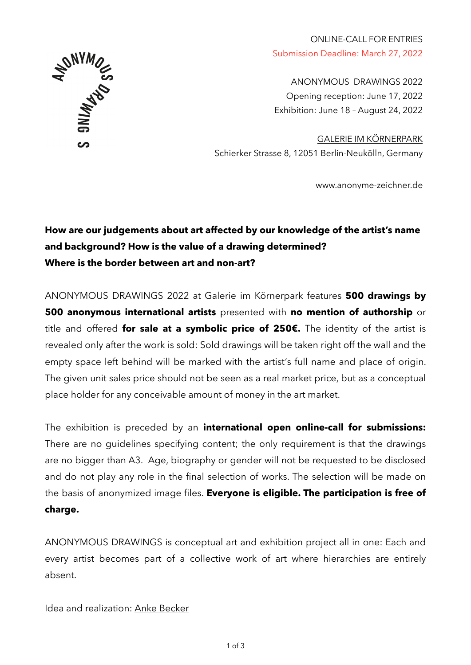

ONLINE-CALL FOR ENTRIES Submission Deadline: March 27, 2022

ANONYMOUS DRAWINGS 2022 Opening reception: June 17, 2022 Exhibition: June 18 – August 24, 2022

[GALERIE IM KÖRNERPARK](https://galerie-im-koernerpark.de/en) Schierker Strasse 8, 12051 Berlin-Neukölln, Germany

[www.anonyme-zeichner.de](http://www.anonyme-zeichner.de)

## **How are our judgements about art affected by our knowledge of the artist's name and background? How is the value of a drawing determined? Where is the border between art and non-art?**

ANONYMOUS DRAWINGS 2022 at Galerie im Körnerpark features **500 drawings by 500 anonymous international artists** presented with **no mention of authorship** or title and offered **for sale at a symbolic price of 250€.** The identity of the artist is revealed only after the work is sold: Sold drawings will be taken right off the wall and the empty space left behind will be marked with the artist's full name and place of origin. The given unit sales price should not be seen as a real market price, but as a conceptual place holder for any conceivable amount of money in the art market.

The exhibition is preceded by an **international open online-call for submissions:**  There are no guidelines specifying content; the only requirement is that the drawings are no bigger than A3. Age, biography or gender will not be requested to be disclosed and do not play any role in the final selection of works. The selection will be made on the basis of anonymized image files. **Everyone is eligible. The participation is free of charge.** 

ANONYMOUS DRAWINGS is conceptual art and exhibition project all in one: Each and every artist becomes part of a collective work of art where hierarchies are entirely absent.

Idea and realization: [Anke Becker](http://www.anke-becker.de)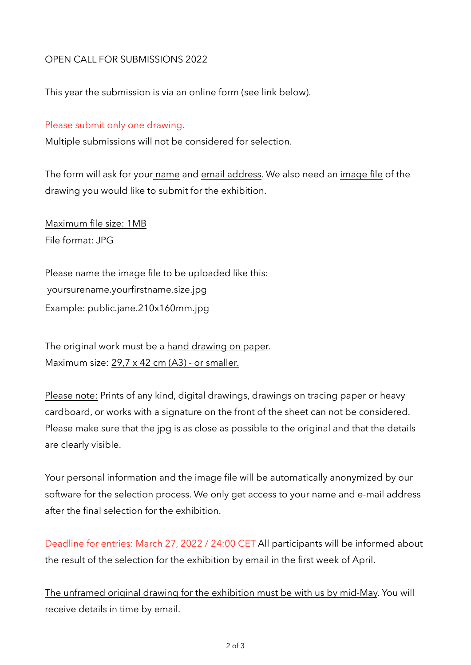## OPEN CALL FOR SUBMISSIONS 2022

This year the submission is via an online form (see link below).

## Please submit only one drawing.

Multiple submissions will not be considered for selection.

The form will ask for your name and email address. We also need an image file of the drawing you would like to submit for the exhibition.

Maximum file size: 1MB File format: JPG

Please name the image file to be uploaded like this: yoursurename.yourfirstname.size.jpg Example: public.jane.210x160mm.jpg

The original work must be a hand drawing on paper. Maximum size: 29,7 x 42 cm (A3) - or smaller.

Please note: Prints of any kind, digital drawings, drawings on tracing paper or heavy cardboard, or works with a signature on the front of the sheet can not be considered. Please make sure that the jpg is as close as possible to the original and that the details are clearly visible.

Your personal information and the image file will be automatically anonymized by our software for the selection process. We only get access to your name and e-mail address after the final selection for the exhibition.

Deadline for entries: March 27, 2022 / 24:00 CET All participants will be informed about the result of the selection for the exhibition by email in the first week of April.

The unframed original drawing for the exhibition must be with us by mid-May. You will receive details in time by email.